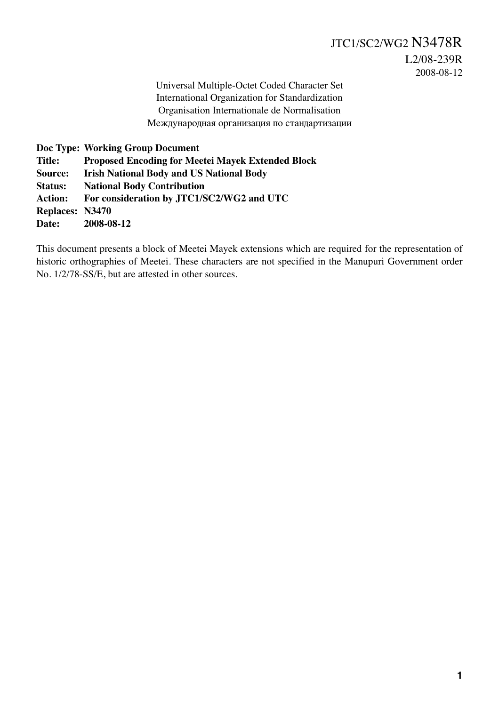Universal Multiple-Octet Coded Character Set International Organization for Standardization Organisation Internationale de Normalisation Международная организация по стандартизации

**Doc Type: Working Group Document Title: Proposed Encoding for Meetei Mayek Extended Block Source: Irish National Body and US National Body Status: National Body Contribution Action: For consideration by JTC1/SC2/WG2 and UTC Replaces: N3470 Date: 2008-08-12**

This document presents a block of Meetei Mayek extensions which are required for the representation of historic orthographies of Meetei. These characters are not specified in the Manupuri Government order No. 1/2/78-SS/E, but are attested in other sources.